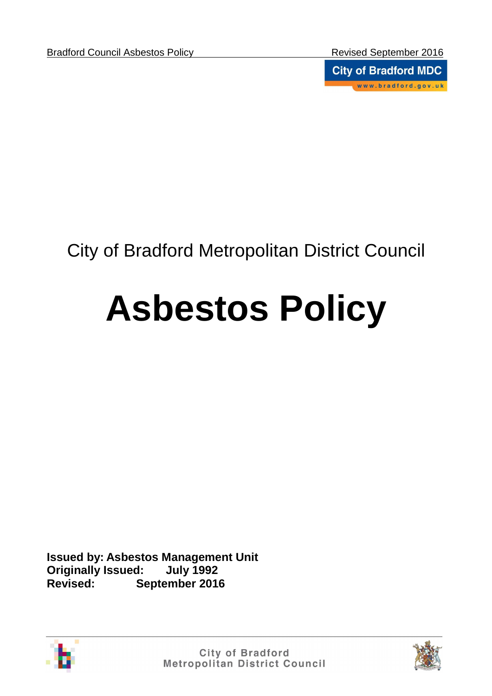**City of Bradford MDC** www.bradford.gov.uk

# City of Bradford Metropolitan District Council

# **Asbestos Policy**

**Issued by: Asbestos Management Unit Originally Issued: July 1992 Revised: September 2016** 



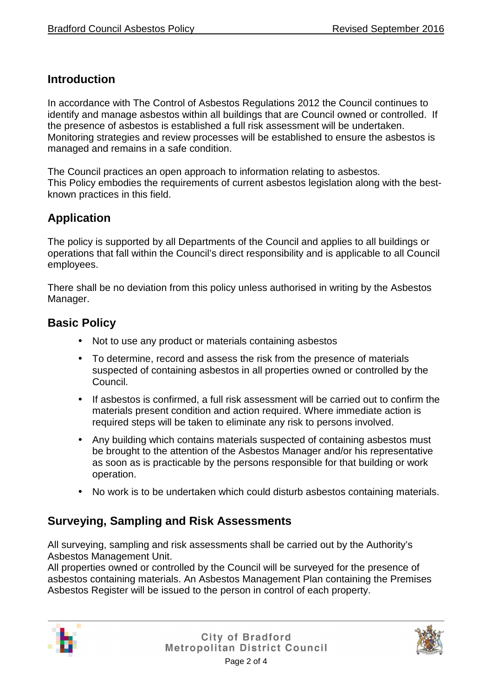#### **Introduction**

In accordance with The Control of Asbestos Regulations 2012 the Council continues to identify and manage asbestos within all buildings that are Council owned or controlled. If the presence of asbestos is established a full risk assessment will be undertaken. Monitoring strategies and review processes will be established to ensure the asbestos is managed and remains in a safe condition.

The Council practices an open approach to information relating to asbestos. This Policy embodies the requirements of current asbestos legislation along with the bestknown practices in this field.

## **Application**

The policy is supported by all Departments of the Council and applies to all buildings or operations that fall within the Council's direct responsibility and is applicable to all Council employees.

There shall be no deviation from this policy unless authorised in writing by the Asbestos Manager.

#### **Basic Policy**

- Not to use any product or materials containing asbestos
- To determine, record and assess the risk from the presence of materials suspected of containing asbestos in all properties owned or controlled by the Council.
- If asbestos is confirmed, a full risk assessment will be carried out to confirm the materials present condition and action required. Where immediate action is required steps will be taken to eliminate any risk to persons involved.
- Any building which contains materials suspected of containing asbestos must be brought to the attention of the Asbestos Manager and/or his representative as soon as is practicable by the persons responsible for that building or work operation.
- No work is to be undertaken which could disturb asbestos containing materials.

#### **Surveying, Sampling and Risk Assessments**

All surveying, sampling and risk assessments shall be carried out by the Authority's Asbestos Management Unit.

All properties owned or controlled by the Council will be surveyed for the presence of asbestos containing materials. An Asbestos Management Plan containing the Premises Asbestos Register will be issued to the person in control of each property.



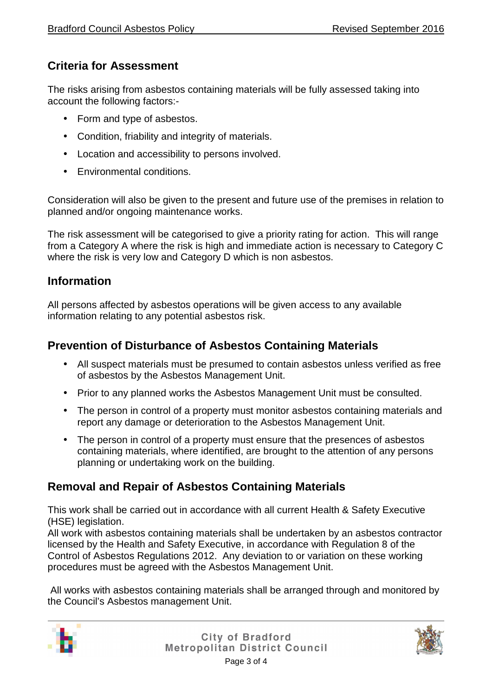# **Criteria for Assessment**

The risks arising from asbestos containing materials will be fully assessed taking into account the following factors:-

- Form and type of asbestos.
- Condition, friability and integrity of materials.
- Location and accessibility to persons involved.
- Environmental conditions.

Consideration will also be given to the present and future use of the premises in relation to planned and/or ongoing maintenance works.

The risk assessment will be categorised to give a priority rating for action. This will range from a Category A where the risk is high and immediate action is necessary to Category C where the risk is very low and Category D which is non asbestos.

## **Information**

All persons affected by asbestos operations will be given access to any available information relating to any potential asbestos risk.

#### **Prevention of Disturbance of Asbestos Containing Materials**

- All suspect materials must be presumed to contain asbestos unless verified as free of asbestos by the Asbestos Management Unit.
- Prior to any planned works the Asbestos Management Unit must be consulted.
- The person in control of a property must monitor asbestos containing materials and report any damage or deterioration to the Asbestos Management Unit.
- The person in control of a property must ensure that the presences of asbestos containing materials, where identified, are brought to the attention of any persons planning or undertaking work on the building.

# **Removal and Repair of Asbestos Containing Materials**

This work shall be carried out in accordance with all current Health & Safety Executive (HSE) legislation.

All work with asbestos containing materials shall be undertaken by an asbestos contractor licensed by the Health and Safety Executive, in accordance with Regulation 8 of the Control of Asbestos Regulations 2012. Any deviation to or variation on these working procedures must be agreed with the Asbestos Management Unit.

 All works with asbestos containing materials shall be arranged through and monitored by the Council's Asbestos management Unit.